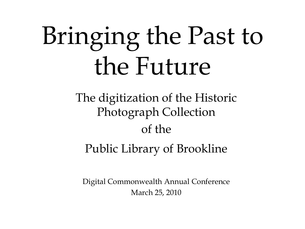# Bringing the Past to the Future

The digitization of the Historic Photograph Collection of the

Public Library of Brookline

Digital Commonwealth Annual Conference March 25, 2010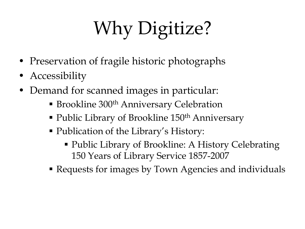## Why Digitize?

- Preservation of fragile historic photographs
- Accessibility
- Demand for scanned images in particular:
	- **Brookline 300<sup>th</sup> Anniversary Celebration**
	- Public Library of Brookline 150<sup>th</sup> Anniversary
	- Publication of the Library's History:
		- Public Library of Brookline: A History Celebrating 150 Years of Library Service 1857-2007
	- Requests for images by Town Agencies and individuals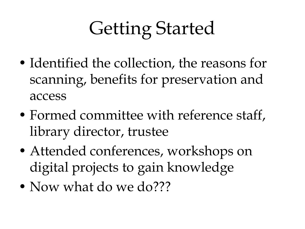#### Getting Started

- Identified the collection, the reasons for scanning, benefits for preservation and access
- Formed committee with reference staff, library director, trustee
- Attended conferences, workshops on digital projects to gain knowledge
- Now what do we do???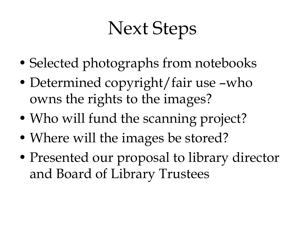#### Next Steps

- Selected photographs from notebooks
- Determined copyright/fair use –who owns the rights to the images?
- Who will fund the scanning project?
- Where will the images be stored?
- Presented our proposal to library director and Board of Library Trustees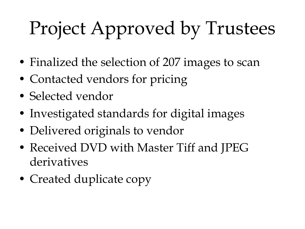### Project Approved by Trustees

- Finalized the selection of 207 images to scan
- Contacted vendors for pricing
- Selected vendor
- Investigated standards for digital images
- Delivered originals to vendor
- Received DVD with Master Tiff and JPEG derivatives
- Created duplicate copy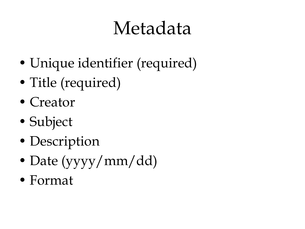#### Metadata

- Unique identifier (required)
- Title (required)
- Creator
- Subject
- Description
- Date (yyyy/mm/dd)
- Format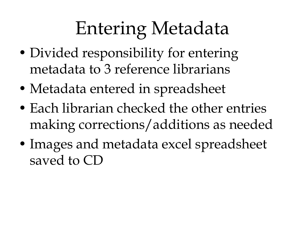#### Entering Metadata

- Divided responsibility for entering metadata to 3 reference librarians
- Metadata entered in spreadsheet
- Each librarian checked the other entries making corrections/additions as needed
- Images and metadata excel spreadsheet saved to CD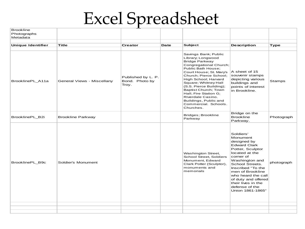#### Excel Spreadsheet

| <b>Brookline</b><br>Photographs<br>Metadata |                            |                                               |      |                                                                                                                                                                                                                                                                                                                                                                                        |                                                                                                                                                                                                                                                                                                       |               |
|---------------------------------------------|----------------------------|-----------------------------------------------|------|----------------------------------------------------------------------------------------------------------------------------------------------------------------------------------------------------------------------------------------------------------------------------------------------------------------------------------------------------------------------------------------|-------------------------------------------------------------------------------------------------------------------------------------------------------------------------------------------------------------------------------------------------------------------------------------------------------|---------------|
| <b>Unique Identifier</b>                    | Title                      | <b>Creator</b>                                | Date | <b>Subject</b>                                                                                                                                                                                                                                                                                                                                                                         | <b>Description</b>                                                                                                                                                                                                                                                                                    | <b>Type</b>   |
| BrooklinePL_A11a                            | General Views - Miscellany | Published by L. P.<br>Bond. Photo by<br>Troy. |      | Savings Bank; Public<br>Library; Longwood<br><b>Bridge Parkway</b><br>Congregational Church;<br>Public Bath House;<br>Court House; St. Mary's<br>Church; Pierce School;<br>High School; Harvard<br>Square; Whitney Hall<br>(S.S. Pierce Building);<br>Baptist Church; Town<br>Hall; Fire Station G;<br>Riverdale Casino.<br>Buildings, Public and<br>Commercial. Schools.<br>Churches. | A sheet of 15<br>souvenir stamps<br>depicting various<br>buildings and<br>points of interest<br>in Brookline.                                                                                                                                                                                         | <b>Stamps</b> |
| BrooklinePL B2i                             | <b>Brookline Parkway</b>   |                                               |      | Bridges; Brookline<br>Parkway                                                                                                                                                                                                                                                                                                                                                          | Bridge on the<br><b>Brookline</b><br>Parkway.                                                                                                                                                                                                                                                         | Photograph    |
| BrooklinePL_B9c                             | Soldier's Monument         |                                               |      | Washington Street,<br>School Street, Soldiers<br>Monument, Edward<br>Clark Potter (Sculptor),<br>monuments and<br>memorials                                                                                                                                                                                                                                                            | Soldiers'<br>Monument<br>designed by<br><b>Edward Clark</b><br>Potter, Sculptor<br>located at the<br>corner of<br>Washington and<br>School Streets.<br>Inscribed "To the<br>men of Brookline<br>who heard the call<br>of duty and offered<br>their lives in the<br>defense of the<br>Union 1861-1865" | photograph    |
|                                             |                            |                                               |      |                                                                                                                                                                                                                                                                                                                                                                                        |                                                                                                                                                                                                                                                                                                       |               |
|                                             |                            |                                               |      |                                                                                                                                                                                                                                                                                                                                                                                        |                                                                                                                                                                                                                                                                                                       |               |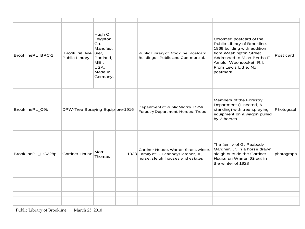| BrooklinePL_BPC-1  | Brookline, MA<br>Public Library  | Hugh C.<br>Leighton<br>Co.,<br>Manufact<br>urer,<br>Portland,<br><b>ME.,</b><br>USA.<br>Made in<br>Germany. | Public Library of Brookline; Postcard;<br>Buildings. Public and Commercial.                                           | Colorized postcard of the<br>Public Library of Brookline.<br>1869 building with addition<br>from Washington Street.<br>Addressed to Miss Bertha E.<br>Arnold, Woonsocket, R.I.<br>From Lewis Little, No<br>postmark. | Post card  |
|--------------------|----------------------------------|-------------------------------------------------------------------------------------------------------------|-----------------------------------------------------------------------------------------------------------------------|----------------------------------------------------------------------------------------------------------------------------------------------------------------------------------------------------------------------|------------|
| BrooklinePL_C9b    | DPW-Tree Spraying Equip pre-1916 |                                                                                                             | Department of Public Works. DPW.<br>Forestry Department. Horses. Trees.                                               | Members of the Forestry<br>Department (1 seated, 6<br>standing) with tree spraying<br>equipment on a wagon pulled<br>by 3 horses.                                                                                    | Photograph |
| BrooklinePL_HG228p | <b>Gardner House</b>             | Marr,<br>Thomas                                                                                             | Gardner House, Warren Street, winter,<br>1928 Family of G. Peabody Gardner, Jr.,<br>horse, sleigh, houses and estates | The family of G. Peabody<br>Gardner, Jr. in a horse drawn<br>sleigh outside the Gardner<br>House on Warren Street in<br>the winter of 1928                                                                           | photograph |
|                    |                                  |                                                                                                             |                                                                                                                       |                                                                                                                                                                                                                      |            |
|                    |                                  |                                                                                                             |                                                                                                                       |                                                                                                                                                                                                                      |            |
|                    |                                  |                                                                                                             |                                                                                                                       |                                                                                                                                                                                                                      |            |
|                    |                                  |                                                                                                             |                                                                                                                       |                                                                                                                                                                                                                      |            |
|                    |                                  |                                                                                                             |                                                                                                                       |                                                                                                                                                                                                                      |            |
|                    |                                  |                                                                                                             |                                                                                                                       |                                                                                                                                                                                                                      |            |

Public Library of Brookline March 25, 2010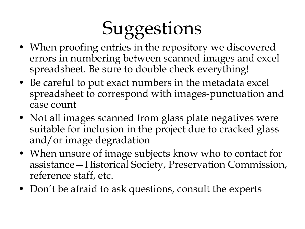#### **Suggestions**

- When proofing entries in the repository we discovered errors in numbering between scanned images and excel spreadsheet. Be sure to double check everything!
- Be careful to put exact numbers in the metadata excel spreadsheet to correspond with images-punctuation and case count
- Not all images scanned from glass plate negatives were suitable for inclusion in the project due to cracked glass and/or image degradation
- When unsure of image subjects know who to contact for assistance—Historical Society, Preservation Commission, reference staff, etc.
- Don't be afraid to ask questions, consult the experts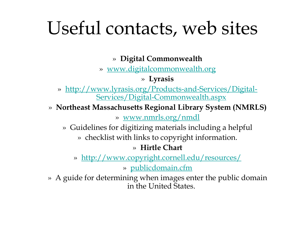#### Useful contacts, web sites

» **Digital Commonwealt[h](http://www.digitalcommonwealth.org/)**

» [www.digitalcommonwealth.org](http://www.digitalcommonwealth.org/)

» **Lyrasi[s](http://www.lyrasis.org/Products-and-Services/Digital-Services/Digital-Commonwealth.aspx)**

- » [http://www.lyrasis.org/Products-and-Services/Digital-](http://www.lyrasis.org/Products-and-Services/Digital-Services/Digital-Commonwealth.aspx)[Services/Digital-Commonwealth.aspx](http://www.lyrasis.org/Products-and-Services/Digital-Services/Digital-Commonwealth.aspx)
- » **Northeast Massachusetts Regional Library System (NMRLS)**

» [www.nmrls.org/nmdl](http://www.nmrls.org/nmdl)

- » Guidelines for digitizing materials including a helpful
	- » checklist with links to copyright information.

#### » **Hirtle Chart**

- » [http://www.copyright.cornell.edu/resources/](http://www.copyright.cornell.edu/resources/publicdomain.cfm) » [publicdomain.cfm](http://www.copyright.cornell.edu/resources/publicdomain.cfm)
- » A guide for determining when images enter the public domain in the United States.